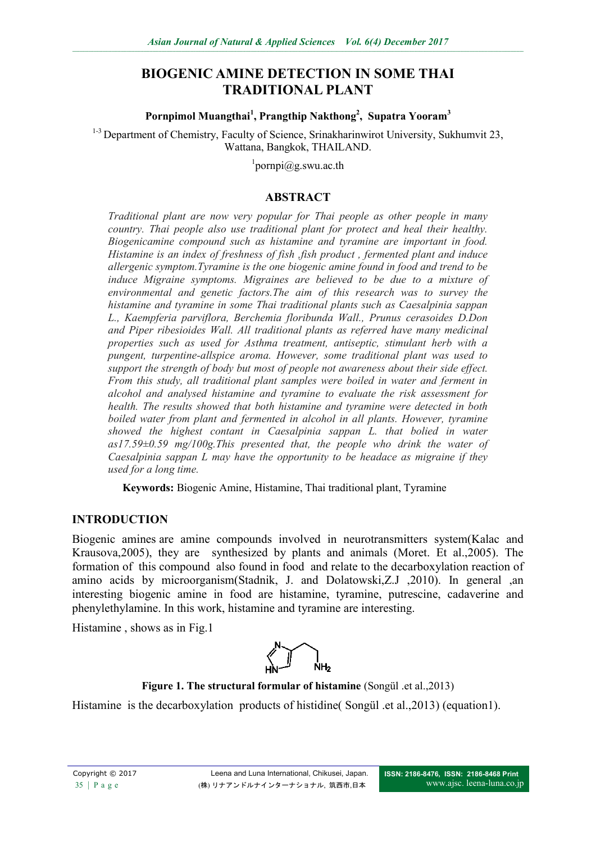# **BIOGENIC AMINE DETECTION IN SOME THAI TRADITIONAL PLANT**

#### **Pornpimol Muangthai<sup>1</sup> , Prangthip Nakthong<sup>2</sup> , Supatra Yooram<sup>3</sup>**

<sup>1-3</sup> Department of Chemistry, Faculty of Science, Srinakharinwirot University, Sukhumvit 23, Wattana, Bangkok, THAILAND.

1 pornpi@g.swu.ac.th

#### **ABSTRACT**

*Traditional plant are now very popular for Thai people as other people in many country. Thai people also use traditional plant for protect and heal their healthy. Biogenicamine compound such as histamine and tyramine are important in food. Histamine is an index of freshness of fish ,fish product , fermented plant and induce allergenic symptom.Tyramine is the one biogenic amine found in food and trend to be induce Migraine symptoms. Migraines are believed to be due to a mixture of environmental and genetic factors.The aim of this research was to survey the histamine and tyramine in some Thai traditional plants such as Caesalpinia sappan L., Kaempferia parviflora, Berchemia floribunda Wall., Prunus cerasoides D.Don and Piper ribesioides Wall. All traditional plants as referred have many medicinal properties such as used for Asthma treatment, antiseptic, stimulant herb with a pungent, turpentine-allspice aroma. However, some traditional plant was used to support the strength of body but most of people not awareness about their side effect. From this study, all traditional plant samples were boiled in water and ferment in alcohol and analysed histamine and tyramine to evaluate the risk assessment for health. The results showed that both histamine and tyramine were detected in both boiled water from plant and fermented in alcohol in all plants. However, tyramine showed the highest contant in Caesalpinia sappan L. that bolied in water as17.59±0.59 mg/100g.This presented that, the people who drink the water of Caesalpinia sappan L may have the opportunity to be headace as migraine if they used for a long time.*

**Keywords:** Biogenic Amine, Histamine, Thai traditional plant, Tyramine

#### **INTRODUCTION**

Biogenic amines are amine compounds involved in neurotransmitters system(Kalac and Krausova,2005), they are synthesized by plants and animals (Moret. Et al.,2005). The formation of this compound also found in food and relate to the decarboxylation reaction of amino acids by microorganism(Stadnik, J. and Dolatowski,Z.J ,2010). In general ,an interesting biogenic amine in food are histamine, tyramine, putrescine, cadaverine and phenylethylamine. In this work, histamine and tyramine are interesting.

Histamine , shows as in Fig.1



**Figure 1. The structural formular of histamine** (Songül .et al.,2013)

Histamine is the decarboxylation products of histidine (Songül .et al., 2013) (equation1).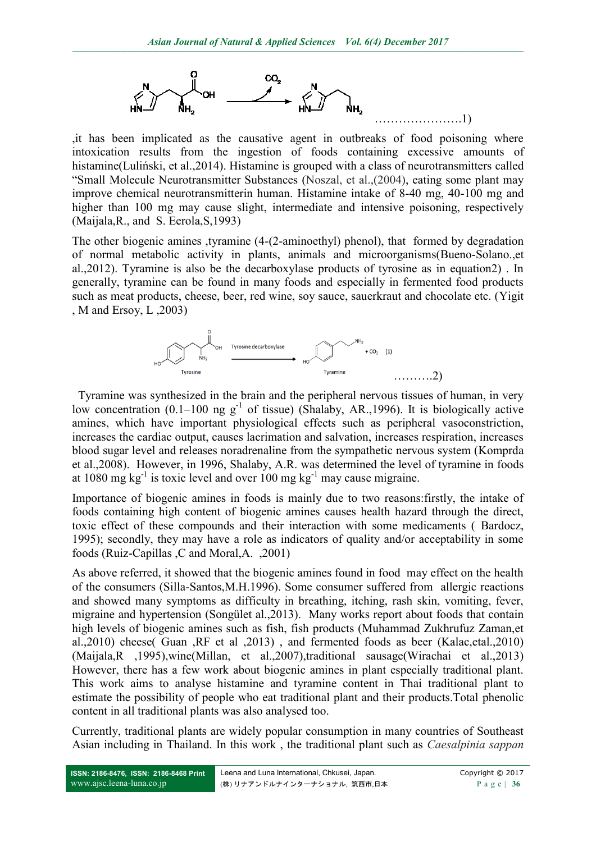

,it has been implicated as the causative agent in outbreaks of food poisoning where intoxication results from the ingestion of foods containing excessive amounts of histamine(Luliński, et al., 2014). Histamine is grouped with a class of neurotransmitters called "Small Molecule Neurotransmitter Substances (Noszal, et al.,(2004), eating some plant may improve chemical neurotransmitterin human. Histamine intake of 8-40 mg, 40-100 mg and higher than 100 mg may cause slight, intermediate and intensive poisoning, respectively (Maijala,R., and S. Eerola,S,1993)

The other biogenic amines ,tyramine (4-(2-aminoethyl) phenol), that formed by degradation of normal metabolic activity in plants, animals and microorganisms(Bueno-Solano.,et al.,2012). Tyramine is also be the decarboxylase products of tyrosine as in equation2) . In generally, tyramine can be found in many foods and especially in fermented food products such as meat products, cheese, beer, red wine, soy sauce, sauerkraut and chocolate etc. (Yigit , M and Ersoy, L ,2003)



 Tyramine was synthesized in the brain and the peripheral nervous tissues of human, in very low concentration  $(0.1-100 \text{ ng g}^{-1}$  of tissue) (Shalaby, AR., 1996). It is biologically active amines, which have important physiological effects such as peripheral vasoconstriction, increases the cardiac output, causes lacrimation and salvation, increases respiration, increases blood sugar level and releases noradrenaline from the sympathetic nervous system (Komprda et al.,2008). However, in 1996, Shalaby, A.R. was determined the level of tyramine in foods at 1080 mg kg<sup>-1</sup> is toxic level and over 100 mg kg<sup>-1</sup> may cause migraine.

Importance of biogenic amines in foods is mainly due to two reasons:firstly, the intake of foods containing high content of biogenic amines causes health hazard through the direct, toxic effect of these compounds and their interaction with some medicaments ( Bardocz, 1995); secondly, they may have a role as indicators of quality and/or acceptability in some foods (Ruiz-Capillas ,C and Moral,A. ,2001)

As above referred, it showed that the biogenic amines found in food may effect on the health of the consumers (Silla-Santos,M.H.1996). Some consumer suffered from allergic reactions and showed many symptoms as difficulty in breathing, itching, rash skin, vomiting, fever, migraine and hypertension (Songület al.,2013). Many works report about foods that contain high levels of biogenic amines such as fish, fish products (Muhammad Zukhrufuz Zaman,et al.,2010) cheese( Guan ,RF et al ,2013) , and fermented foods as beer (Kalac,etal.,2010) (Maijala,R ,1995),wine(Millan, et al.,2007),traditional sausage(Wirachai et al.,2013) However, there has a few work about biogenic amines in plant especially traditional plant. This work aims to analyse histamine and tyramine content in Thai traditional plant to estimate the possibility of people who eat traditional plant and their products.Total phenolic content in all traditional plants was also analysed too.

Currently, traditional plants are widely popular consumption in many countries of Southeast Asian including in Thailand. In this work , the traditional plant such as *Caesalpinia sappan*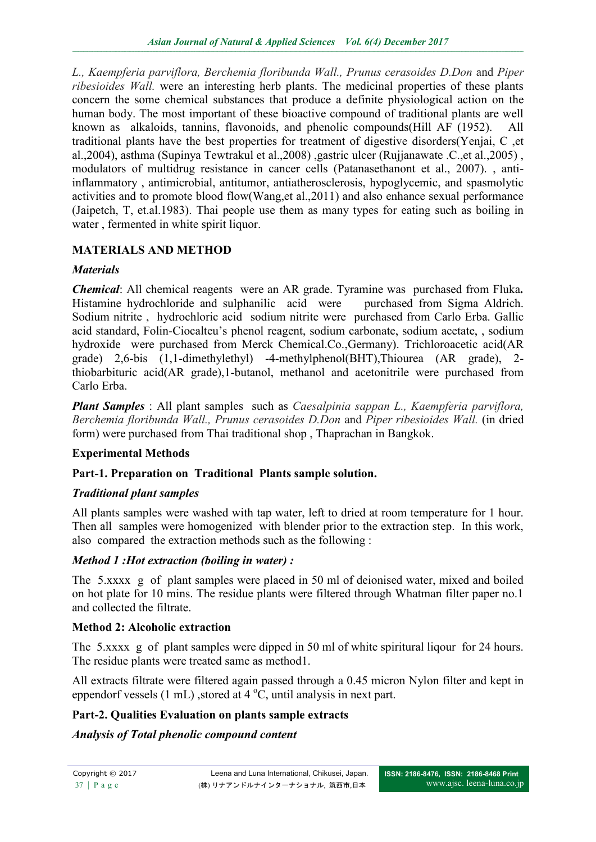*L., Kaempferia parviflora, Berchemia floribunda Wall., Prunus cerasoides D.Don* and *Piper ribesioides Wall.* were an interesting herb plants. The medicinal properties of these plants concern the some chemical substances that produce a definite physiological action on the human body. The most important of these bioactive compound of traditional plants are well known as alkaloids, tannins, flavonoids, and phenolic compounds(Hill AF (1952). All traditional plants have the best properties for treatment of digestive disorders(Yenjai, C ,et al.,2004), asthma (Supinya Tewtrakul et al.,2008) ,gastric ulcer (Rujjanawate .C.,et al.,2005) , modulators of multidrug resistance in cancer cells (Patanasethanont et al., 2007). , antiinflammatory , antimicrobial, antitumor, antiatherosclerosis, hypoglycemic, and spasmolytic activities and to promote blood flow(Wang,et al.,2011) and also enhance sexual performance (Jaipetch, T, et.al.1983). Thai people use them as many types for eating such as boiling in water , fermented in white spirit liquor.

# **MATERIALS AND METHOD**

### *Materials*

*Chemical*: All chemical reagents were an AR grade. Tyramine was purchased from Fluka*.* Histamine hydrochloride and sulphanilic acid were purchased from Sigma Aldrich. Sodium nitrite , hydrochloric acidsodium nitrite were purchased from Carlo Erba. Gallic acid standard, Folin-Ciocalteu's phenol reagent, sodium carbonate, sodium acetate, , sodium hydroxide were purchased from Merck Chemical.Co.,Germany). Trichloroacetic acid(AR grade) 2,6-bis (1,1-dimethylethyl) -4-methylphenol(BHT),Thiourea (AR grade), 2 thiobarbituric acid(AR grade),1-butanol, methanol and acetonitrile were purchased from Carlo Erba.

*Plant Samples* : All plant samples such as *Caesalpinia sappan L., Kaempferia parviflora, Berchemia floribunda Wall., Prunus cerasoides D.Don* and *Piper ribesioides Wall.* (in dried form) were purchased from Thai traditional shop , Thaprachan in Bangkok.

### **Experimental Methods**

### **Part-1. Preparation on Traditional Plants sample solution.**

### *Traditional plant samples*

All plants samples were washed with tap water, left to dried at room temperature for 1 hour. Then all samples were homogenized with blender prior to the extraction step. In this work, also compared the extraction methods such as the following :

### *Method 1 :Hot extraction (boiling in water) :*

The 5.xxxx g of plant samples were placed in 50 ml of deionised water, mixed and boiled on hot plate for 10 mins. The residue plants were filtered through Whatman filter paper no.1 and collected the filtrate.

### **Method 2: Alcoholic extraction**

The 5.xxxx g of plant samples were dipped in 50 ml of white spiritural liqour for 24 hours. The residue plants were treated same as method1.

All extracts filtrate were filtered again passed through a 0.45 micron Nylon filter and kept in eppendorf vessels  $(1 \text{ mL})$ , stored at  $4^{\circ}$ C, until analysis in next part.

### **Part-2. Qualities Evaluation on plants sample extracts**

### *Analysis of Total phenolic compound content*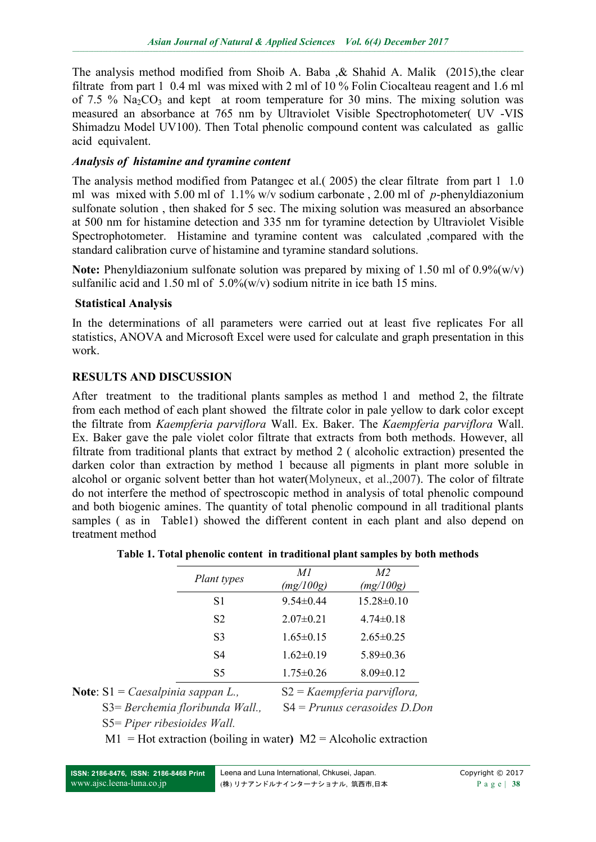The analysis method modified from Shoib A. Baba ,& Shahid A. Malik (2015),the clear filtrate from part 1 0.4 ml was mixed with 2 ml of 10 % Folin Ciocalteau reagent and 1.6 ml of 7.5 %  $Na<sub>2</sub>CO<sub>3</sub>$  and kept at room temperature for 30 mins. The mixing solution was measured an absorbance at 765 nm by Ultraviolet Visible Spectrophotometer( UV -VIS Shimadzu Model UV100). Then Total phenolic compound content was calculated as gallic acid equivalent.

#### *Analysis of histamine and tyramine content*

The analysis method modified from Patangec et al.( 2005) the clear filtrate from part 1 1.0 ml was mixed with 5.00 ml of 1.1% w/v sodium carbonate , 2.00 ml of *p*-phenyldiazonium sulfonate solution , then shaked for 5 sec. The mixing solution was measured an absorbance at 500 nm for histamine detection and 335 nm for tyramine detection by Ultraviolet Visible Spectrophotometer. Histamine and tyramine content was calculated ,compared with the standard calibration curve of histamine and tyramine standard solutions.

**Note:** Phenyldiazonium sulfonate solution was prepared by mixing of 1.50 ml of 0.9%(w/v) sulfanilic acid and 1.50 ml of  $5.0\%$  (w/v) sodium nitrite in ice bath 15 mins.

#### **Statistical Analysis**

In the determinations of all parameters were carried out at least five replicates For all statistics, ANOVA and Microsoft Excel were used for calculate and graph presentation in this work.

### **RESULTS AND DISCUSSION**

After treatment to the traditional plants samples as method 1 and method 2, the filtrate from each method of each plant showed the filtrate color in pale yellow to dark color except the filtrate from *Kaempferia parviflora* Wall. Ex. Baker. The *Kaempferia parviflora* Wall. Ex. Baker gave the pale violet color filtrate that extracts from both methods. However, all filtrate from traditional plants that extract by method 2 ( alcoholic extraction) presented the darken color than extraction by method 1 because all pigments in plant more soluble in alcohol or organic solvent better than hot water(Molyneux, et al.,2007). The color of filtrate do not interfere the method of spectroscopic method in analysis of total phenolic compound and both biogenic amines. The quantity of total phenolic compound in all traditional plants samples (as in Table1) showed the different content in each plant and also depend on treatment method

|  | Table 1. Total phenolic content in traditional plant samples by both methods |
|--|------------------------------------------------------------------------------|
|--|------------------------------------------------------------------------------|

| Plant types    | MI<br>(mg/100g) | M <sup>2</sup><br>(mg/100g) |
|----------------|-----------------|-----------------------------|
| S1             | $9.54\pm0.44$   | $15.28 \pm 0.10$            |
| S <sub>2</sub> | $2.07\pm0.21$   | $4.74\pm0.18$               |
| S3             | $1.65 \pm 0.15$ | $2.65 \pm 0.25$             |
| S4             | $1.62\pm0.19$   | $5.89\pm0.36$               |
| S5             | $1.75 \pm 0.26$ | $8.09\pm0.12$               |

**Note**: S1 = *Caesalpinia sappan L.,* S2 = *Kaempferia parviflora,* 

M1 = Hot extraction (boiling in water**)** M2 = Alcoholic extraction

S3= *Berchemia floribunda Wall.,* S4 = *Prunus cerasoides D.Don* 

S5= *Piper ribesioides Wall.*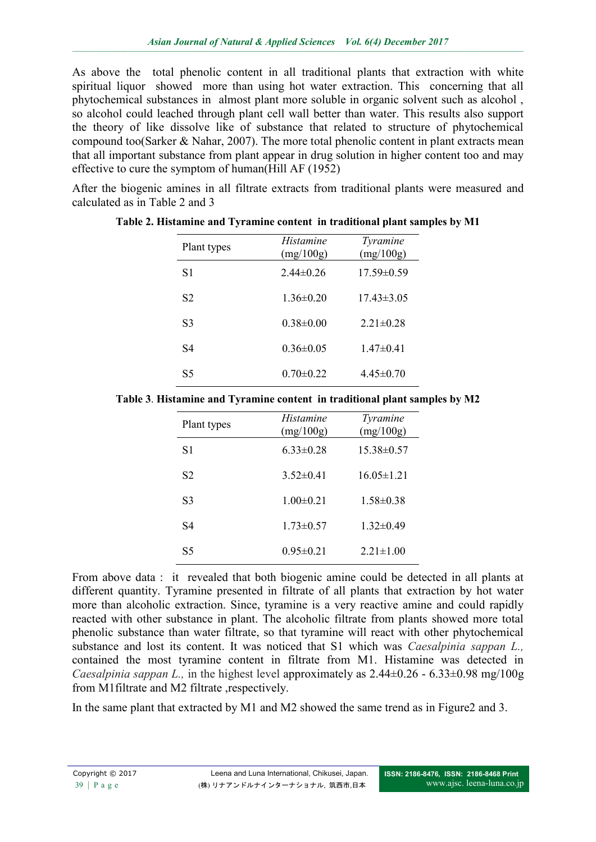As above the total phenolic content in all traditional plants that extraction with white spiritual liquor showed more than using hot water extraction. This concerning that all phytochemical substances in almost plant more soluble in organic solvent such as alcohol , so alcohol could leached through plant cell wall better than water. This results also support the theory of like dissolve like of substance that related to structure of phytochemical compound too(Sarker & Nahar, 2007). The more total phenolic content in plant extracts mean that all important substance from plant appear in drug solution in higher content too and may effective to cure the symptom of human(Hill AF (1952)

After the biogenic amines in all filtrate extracts from traditional plants were measured and calculated as in Table 2 and 3

| Plant types    | <i>Histamine</i><br>(mg/100g) | <i>Tyramine</i><br>(mg/100g) |
|----------------|-------------------------------|------------------------------|
| S1             | $2.44\pm 0.26$                | $17.59\pm0.59$               |
| S <sub>2</sub> | $1.36\pm0.20$                 | $17.43\pm3.05$               |
| S3             | $0.38 \pm 0.00$               | $2.21 \pm 0.28$              |
| S4             | $0.36 \pm 0.05$               | $1.47\pm0.41$                |
| S5             | $0.70 \pm 0.22$               | $4.45\pm0.70$                |

**Table 2. Histamine and Tyramine content in traditional plant samples by M1**

|  |  | Table 3. Histamine and Tyramine content in traditional plant samples by M2 |  |  |
|--|--|----------------------------------------------------------------------------|--|--|
|  |  |                                                                            |  |  |

| Plant types    | <i>Histamine</i><br>(mg/100g) | Tyramine<br>(mg/100g) |
|----------------|-------------------------------|-----------------------|
| S1             | $6.33 \pm 0.28$               | $15.38\pm0.57$        |
| S <sub>2</sub> | $3.52 \pm 0.41$               | $16.05 \pm 1.21$      |
| S3             | $1.00 \pm 0.21$               | $1.58 \pm 0.38$       |
| S4             | $1.73 \pm 0.57$               | $1.32\pm0.49$         |
| S5             | $0.95 \pm 0.21$               | $2.21 \pm 1.00$       |

From above data : it revealed that both biogenic amine could be detected in all plants at different quantity. Tyramine presented in filtrate of all plants that extraction by hot water more than alcoholic extraction. Since, tyramine is a very reactive amine and could rapidly reacted with other substance in plant. The alcoholic filtrate from plants showed more total phenolic substance than water filtrate, so that tyramine will react with other phytochemical substance and lost its content. It was noticed that S1 which was *Caesalpinia sappan L.,* contained the most tyramine content in filtrate from M1. Histamine was detected in *Caesalpinia sappan L.,* in the highest level approximately as  $2.44\pm0.26 - 6.33\pm0.98$  mg/100g from M1 filtrate and M2 filtrate respectively.

In the same plant that extracted by M1 and M2 showed the same trend as in Figure2 and 3.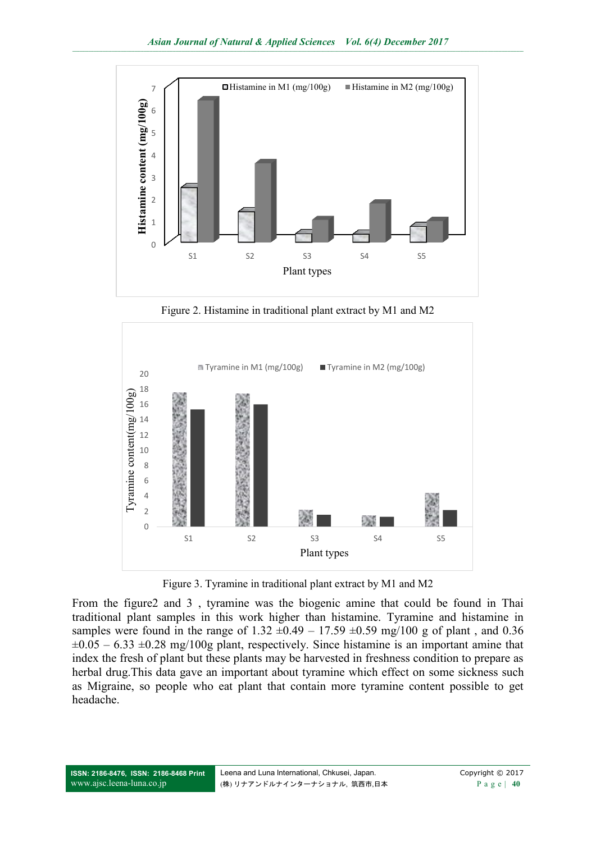

Figure 2. Histamine in traditional plant extract by M1 and M2



Figure 3. Tyramine in traditional plant extract by M1 and M2

From the figure2 and 3 , tyramine was the biogenic amine that could be found in Thai traditional plant samples in this work higher than histamine. Tyramine and histamine in samples were found in the range of  $1.32 \pm 0.49 - 17.59 \pm 0.59$  mg/100 g of plant, and 0.36  $\pm 0.05 - 6.33 \pm 0.28$  mg/100g plant, respectively. Since histamine is an important amine that index the fresh of plant but these plants may be harvested in freshness condition to prepare as herbal drug.This data gave an important about tyramine which effect on some sickness such as Migraine, so people who eat plant that contain more tyramine content possible to get headache.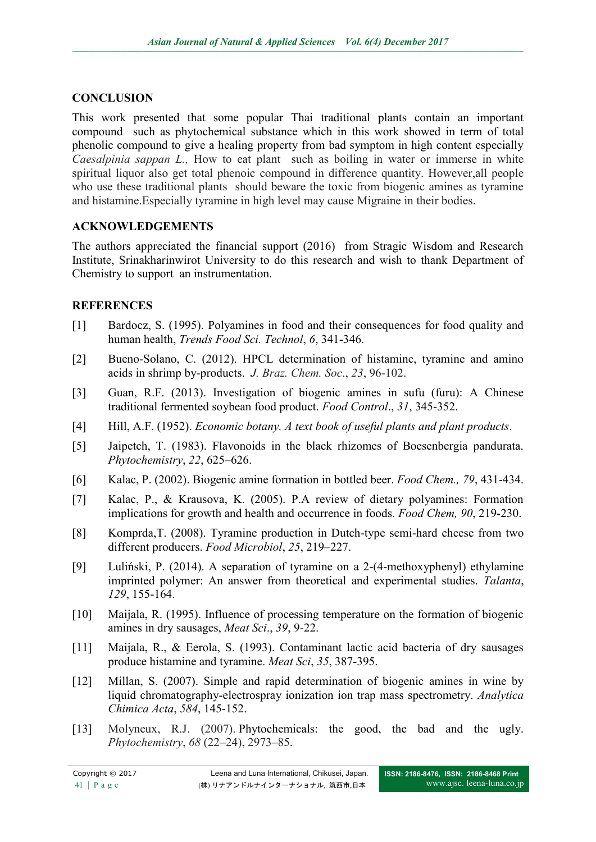## **CONCLUSION**

This work presented that some popular Thai traditional plants contain an important compound such as phytochemical substance which in this work showed in term of total phenolic compound to give a healing property from bad symptom in high content especially *Caesalpinia sappan L.,* How to eat plant such as boiling in water or immerse in white spiritual liquor also get total phenoic compound in difference quantity. However,all people who use these traditional plants should beware the toxic from biogenic amines as tyramine and histamine.Especially tyramine in high level may cause Migraine in their bodies.

# **ACKNOWLEDGEMENTS**

The authors appreciated the financial support (2016) from Stragic Wisdom and Research Institute, Srinakharinwirot University to do this research and wish to thank Department of Chemistry to support an instrumentation.

# **REFERENCES**

- [1] Bardocz, S. (1995). Polyamines in food and their consequences for food quality and human health, *Trends Food Sci. Technol*, *6*, 341-346.
- [2] Bueno-Solano, C. (2012). HPCL determination of histamine, tyramine and amino acids in shrimp by-products. *J. Braz. Chem. Soc*., *23*, 96-102.
- [3] Guan, R.F. (2013). Investigation of biogenic amines in sufu (furu): A Chinese traditional fermented soybean food product. *Food Control*., *31*, 345-352.
- [4] Hill, A.F. (1952). *Economic botany. A text book of useful plants and plant products*.
- [5] Jaipetch, T. (1983). Flavonoids in the black rhizomes of Boesenbergia pandurata. *Phytochemistry*, *22*, 625–626.
- [6] Kalac, P. (2002). Biogenic amine formation in bottled beer. *Food Chem., 79*, 431-434.
- [7] Kalac, P., & Krausova, K. (2005). P.A review of dietary polyamines: Formation implications for growth and health and occurrence in foods. *Food Chem, 90*, 219-230.
- [8] Komprda,T. (2008). Tyramine production in Dutch-type semi-hard cheese from two different producers. *Food Microbiol*, *25*, 219–227.
- [9] Luliński, P. (2014). A separation of tyramine on a 2-(4-methoxyphenyl) ethylamine imprinted polymer: An answer from theoretical and experimental studies. *Talanta*, *129*, 155-164.
- [10] Maijala, R. (1995). Influence of processing temperature on the formation of biogenic amines in dry sausages, *Meat Sci*., *39*, 9-22.
- [11] Maijala, R., & Eerola, S. (1993). Contaminant lactic acid bacteria of dry sausages produce histamine and tyramine. *Meat Sci*, *35*, 387-395.
- [12] Millan, S. (2007). Simple and rapid determination of biogenic amines in wine by liquid chromatography-electrospray ionization ion trap mass spectrometry. *Analytica Chimica Acta*, *584*, 145-152.
- [13] Molyneux, R.J. (2007). Phytochemicals: the good, the bad and the ugly. *Phytochemistry*, *68* (22–24), 2973–85.